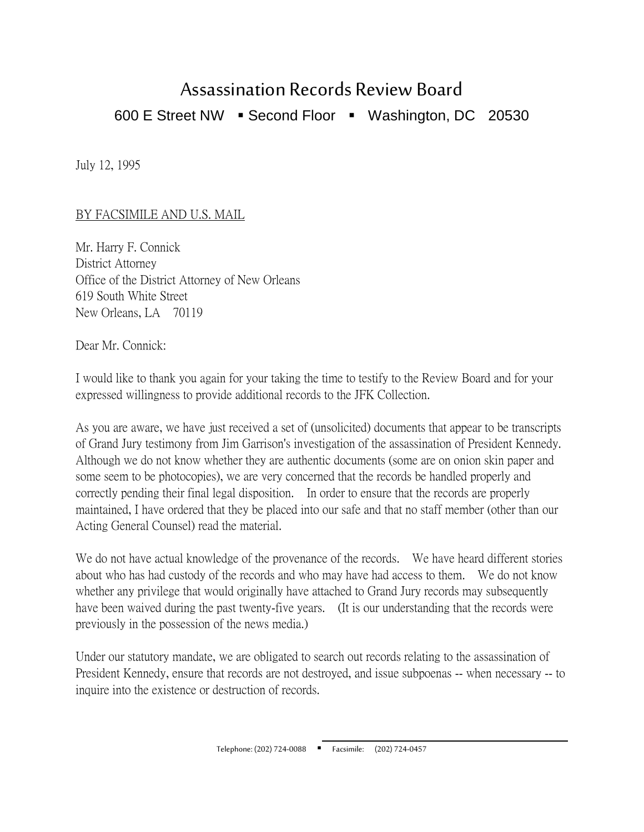## Assassination Records Review Board 600 E Street NW · Second Floor · Washington, DC 20530

July 12, 1995

## BY FACSIMILE AND U.S. MAIL

Mr. Harry F. Connick District Attorney Office of the District Attorney of New Orleans 619 South White Street New Orleans, LA 70119

Dear Mr. Connick:

I would like to thank you again for your taking the time to testify to the Review Board and for your expressed willingness to provide additional records to the JFK Collection.

As you are aware, we have just received a set of (unsolicited) documents that appear to be transcripts of Grand Jury testimony from Jim Garrison's investigation of the assassination of President Kennedy. Although we do not know whether they are authentic documents (some are on onion skin paper and some seem to be photocopies), we are very concerned that the records be handled properly and correctly pending their final legal disposition. In order to ensure that the records are properly maintained, I have ordered that they be placed into our safe and that no staff member (other than our Acting General Counsel) read the material.

We do not have actual knowledge of the provenance of the records. We have heard different stories about who has had custody of the records and who may have had access to them. We do not know whether any privilege that would originally have attached to Grand Jury records may subsequently have been waived during the past twenty-five years. (It is our understanding that the records were previously in the possession of the news media.)

Under our statutory mandate, we are obligated to search out records relating to the assassination of President Kennedy, ensure that records are not destroyed, and issue subpoenas -- when necessary -- to inquire into the existence or destruction of records.